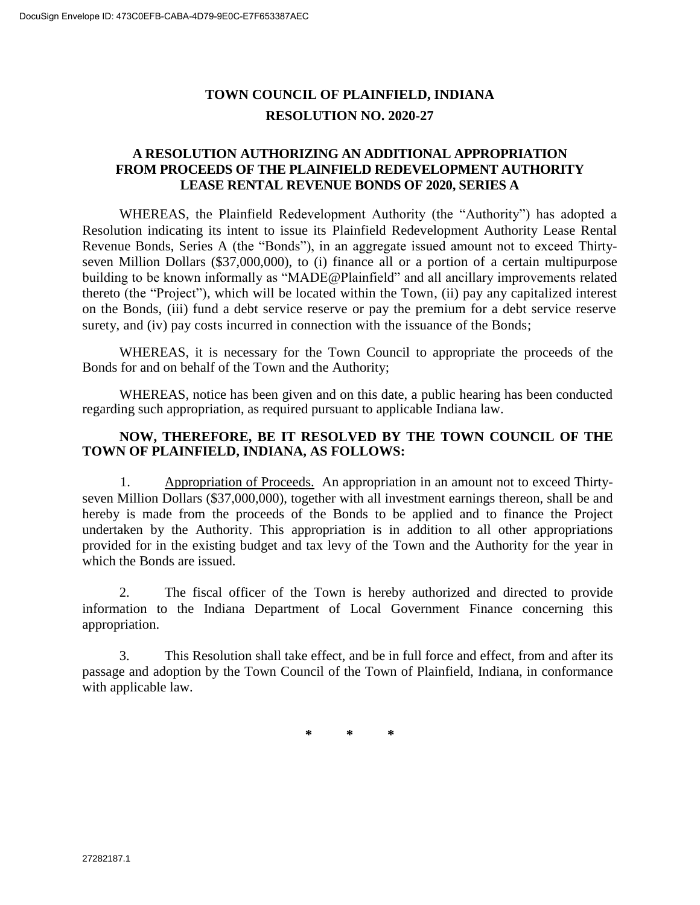# **TOWN COUNCIL OF PLAINFIELD, INDIANA RESOLUTION NO. 2020-27**

## **A RESOLUTION AUTHORIZING AN ADDITIONAL APPROPRIATION FROM PROCEEDS OF THE PLAINFIELD REDEVELOPMENT AUTHORITY LEASE RENTAL REVENUE BONDS OF 2020, SERIES A**

WHEREAS, the Plainfield Redevelopment Authority (the "Authority") has adopted a Resolution indicating its intent to issue its Plainfield Redevelopment Authority Lease Rental Revenue Bonds, Series A (the "Bonds"), in an aggregate issued amount not to exceed Thirtyseven Million Dollars (\$37,000,000), to (i) finance all or a portion of a certain multipurpose building to be known informally as "MADE@Plainfield" and all ancillary improvements related thereto (the "Project"), which will be located within the Town, (ii) pay any capitalized interest on the Bonds, (iii) fund a debt service reserve or pay the premium for a debt service reserve surety, and (iv) pay costs incurred in connection with the issuance of the Bonds;

WHEREAS, it is necessary for the Town Council to appropriate the proceeds of the Bonds for and on behalf of the Town and the Authority;

WHEREAS, notice has been given and on this date, a public hearing has been conducted regarding such appropriation, as required pursuant to applicable Indiana law.

#### **NOW, THEREFORE, BE IT RESOLVED BY THE TOWN COUNCIL OF THE TOWN OF PLAINFIELD, INDIANA, AS FOLLOWS:**

1. Appropriation of Proceeds. An appropriation in an amount not to exceed Thirtyseven Million Dollars (\$37,000,000), together with all investment earnings thereon, shall be and hereby is made from the proceeds of the Bonds to be applied and to finance the Project undertaken by the Authority. This appropriation is in addition to all other appropriations provided for in the existing budget and tax levy of the Town and the Authority for the year in which the Bonds are issued.

2. The fiscal officer of the Town is hereby authorized and directed to provide information to the Indiana Department of Local Government Finance concerning this appropriation.

3. This Resolution shall take effect, and be in full force and effect, from and after its passage and adoption by the Town Council of the Town of Plainfield, Indiana, in conformance with applicable law.

**\* \* \***